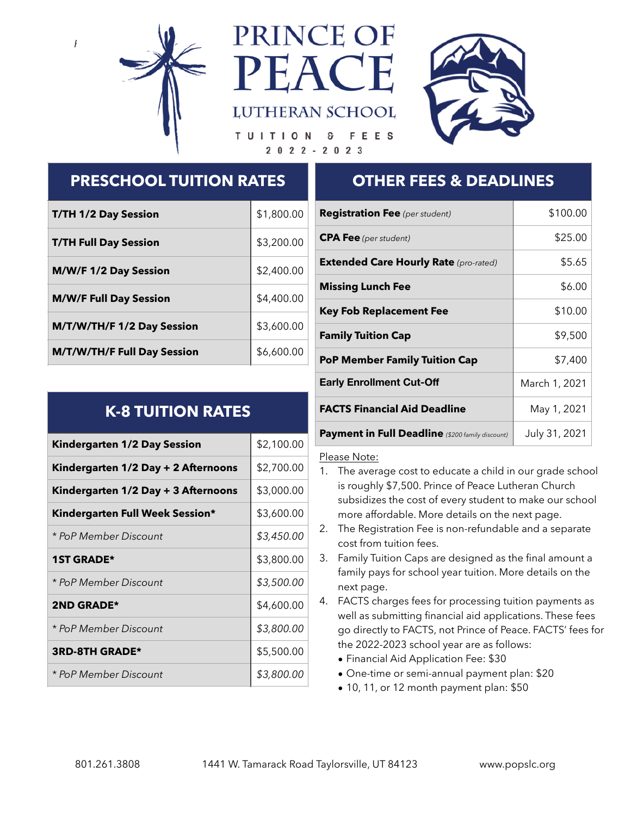

# *PRINCE OF* **LUTHERAN SCHOOL**



#### TUITION ୫ **FEES**  $2022 - 2023$

#### **PRESCHOOL TUITION RATES**

### **OTHER FEES & DEADLINES**

| <b>T/TH 1/2 Day Session</b>        | \$1,800.00 |
|------------------------------------|------------|
| <b>T/TH Full Day Session</b>       | \$3,200.00 |
| <b>M/W/F 1/2 Day Session</b>       | \$2,400.00 |
| <b>M/W/F Full Day Session</b>      | \$4,400.00 |
| M/T/W/TH/F 1/2 Day Session         | \$3,600.00 |
| <b>M/T/W/TH/F Full Day Session</b> | \$6,600.00 |

| <b>Registration Fee</b> (per student)                   | \$100.00      |
|---------------------------------------------------------|---------------|
| <b>CPA Fee</b> (per student)                            | \$25.00       |
| <b>Extended Care Hourly Rate (pro-rated)</b>            | \$5.65        |
| <b>Missing Lunch Fee</b>                                | \$6.00        |
| <b>Key Fob Replacement Fee</b>                          | \$10.00       |
| <b>Family Tuition Cap</b>                               | \$9,500       |
| <b>PoP Member Family Tuition Cap</b>                    | \$7,400       |
| <b>Early Enrollment Cut-Off</b>                         | March 1, 2021 |
| <b>FACTS Financial Aid Deadline</b>                     | May 1, 2021   |
| <b>Payment in Full Deadline</b> (\$200 family discount) | July 31, 2021 |

## **K-8 TUITION RATES**

| <b>Kindergarten 1/2 Day Session</b> | \$2,100.00 |
|-------------------------------------|------------|
| Kindergarten 1/2 Day + 2 Afternoons | \$2,700.00 |
| Kindergarten 1/2 Day + 3 Afternoons | \$3,000.00 |
| Kindergarten Full Week Session*     | \$3,600.00 |
| * PoP Member Discount               | \$3,450.00 |
| <b>1ST GRADE*</b>                   | \$3,800.00 |
| * PoP Member Discount               | \$3,500.00 |
| <b>2ND GRADE*</b>                   | \$4,600.00 |
| * PoP Member Discount               | \$3,800.00 |
| <b>3RD-8TH GRADE*</b>               | \$5,500.00 |
| * PoP Member Discount               | \$3,800.00 |

#### Please Note:

- 1. The average cost to educate a child in our grade school is roughly \$7,500. Prince of Peace Lutheran Church subsidizes the cost of every student to make our school more affordable. More details on the next page.
- 2. The Registration Fee is non-refundable and a separate cost from tuition fees.
- 3. Family Tuition Caps are designed as the final amount a family pays for school year tuition. More details on the next page.
- 4. FACTS charges fees for processing tuition payments as well as submitting financial aid applications. These fees go directly to FACTS, not Prince of Peace. FACTS' fees for the 2022-2023 school year are as follows:
	- Financial Aid Application Fee: \$30
	- One-time or semi-annual payment plan: \$20
	- 10, 11, or 12 month payment plan: \$50